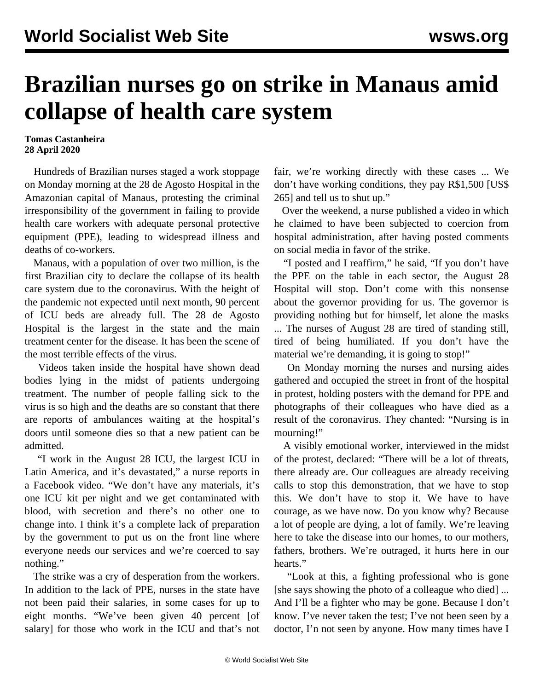## **Brazilian nurses go on strike in Manaus amid collapse of health care system**

**Tomas Castanheira 28 April 2020**

 Hundreds of Brazilian nurses staged a work stoppage on Monday morning at the 28 de Agosto Hospital in the Amazonian capital of Manaus, protesting the criminal irresponsibility of the government in failing to provide health care workers with adequate personal protective equipment (PPE), leading to widespread illness and deaths of co-workers.

 Manaus, with a population of over two million, is the first Brazilian city to declare the collapse of its health care system due to the coronavirus. With the height of the pandemic not expected until next month, 90 percent of ICU beds are already full. The 28 de Agosto Hospital is the largest in the state and the main treatment center for the disease. It has been the scene of the most terrible effects of the virus.

 Videos taken inside the hospital have shown dead bodies lying in the midst of patients undergoing treatment. The number of people falling sick to the virus is so high and the deaths are so constant that there are reports of ambulances waiting at the hospital's doors until someone dies so that a new patient can be admitted.

 "I work in the August 28 ICU, the largest ICU in Latin America, and it's devastated," a nurse reports in a Facebook video. "We don't have any materials, it's one ICU kit per night and we get contaminated with blood, with secretion and there's no other one to change into. I think it's a complete lack of preparation by the government to put us on the front line where everyone needs our services and we're coerced to say nothing."

 The strike was a cry of desperation from the workers. In addition to the lack of PPE, nurses in the state have not been paid their salaries, in some cases for up to eight months. "We've been given 40 percent [of salary] for those who work in the ICU and that's not fair, we're working directly with these cases ... We don't have working conditions, they pay R\$1,500 [US\$ 265] and tell us to shut up."

 Over the weekend, a nurse published a video in which he claimed to have been subjected to coercion from hospital administration, after having posted comments on social media in favor of the strike.

 "I posted and I reaffirm," he said, "If you don't have the PPE on the table in each sector, the August 28 Hospital will stop. Don't come with this nonsense about the governor providing for us. The governor is providing nothing but for himself, let alone the masks ... The nurses of August 28 are tired of standing still, tired of being humiliated. If you don't have the material we're demanding, it is going to stop!"

 On Monday morning the nurses and nursing aides gathered and occupied the street in front of the hospital in protest, holding posters with the demand for PPE and photographs of their colleagues who have died as a result of the coronavirus. They chanted: "Nursing is in mourning!"

 A visibly emotional worker, interviewed in the midst of the protest, declared: "There will be a lot of threats, there already are. Our colleagues are already receiving calls to stop this demonstration, that we have to stop this. We don't have to stop it. We have to have courage, as we have now. Do you know why? Because a lot of people are dying, a lot of family. We're leaving here to take the disease into our homes, to our mothers, fathers, brothers. We're outraged, it hurts here in our hearts."

 "Look at this, a fighting professional who is gone [she says showing the photo of a colleague who died] ... And I'll be a fighter who may be gone. Because I don't know. I've never taken the test; I've not been seen by a doctor, I'n not seen by anyone. How many times have I